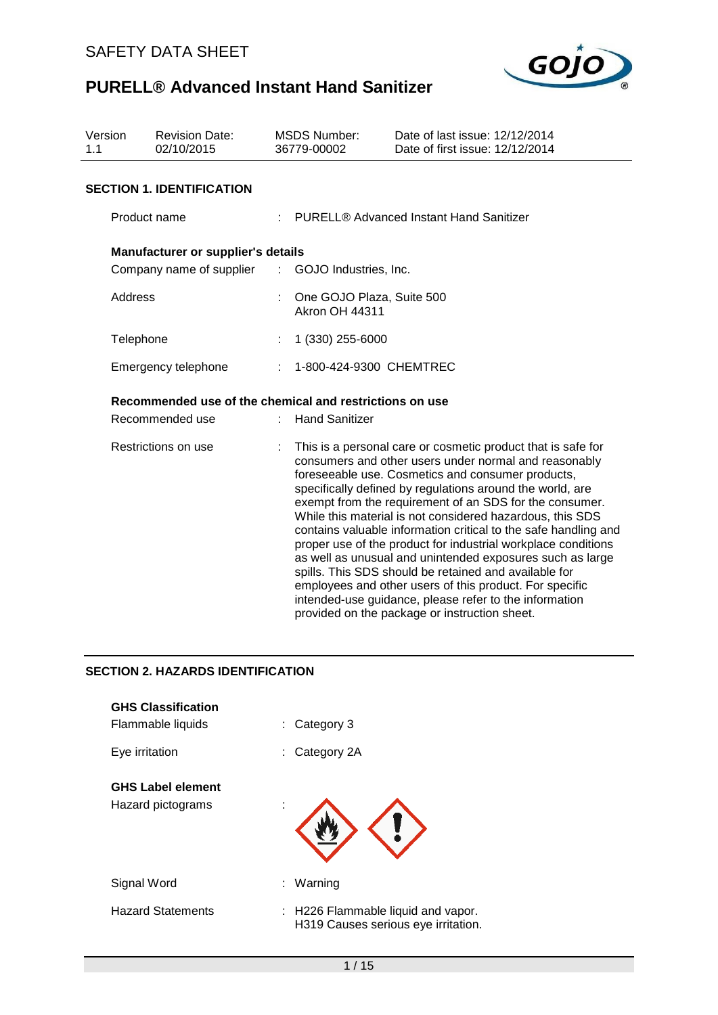

| Version<br>1.1      | <b>Revision Date:</b><br>02/10/2015                     |                            | <b>MSDS Number:</b><br>36779-00002                                                                                                                                                                                                                                                                                                                                                                                                                                                                                                                                                                                                                                                                                                                                                              | Date of last issue: 12/12/2014<br>Date of first issue: 12/12/2014 |  |
|---------------------|---------------------------------------------------------|----------------------------|-------------------------------------------------------------------------------------------------------------------------------------------------------------------------------------------------------------------------------------------------------------------------------------------------------------------------------------------------------------------------------------------------------------------------------------------------------------------------------------------------------------------------------------------------------------------------------------------------------------------------------------------------------------------------------------------------------------------------------------------------------------------------------------------------|-------------------------------------------------------------------|--|
|                     | <b>SECTION 1. IDENTIFICATION</b>                        |                            |                                                                                                                                                                                                                                                                                                                                                                                                                                                                                                                                                                                                                                                                                                                                                                                                 |                                                                   |  |
| Product name        |                                                         |                            | PURELL® Advanced Instant Hand Sanitizer                                                                                                                                                                                                                                                                                                                                                                                                                                                                                                                                                                                                                                                                                                                                                         |                                                                   |  |
|                     | <b>Manufacturer or supplier's details</b>               |                            |                                                                                                                                                                                                                                                                                                                                                                                                                                                                                                                                                                                                                                                                                                                                                                                                 |                                                                   |  |
|                     | Company name of supplier                                | $\mathcal{L}^{\text{max}}$ | GOJO Industries, Inc.                                                                                                                                                                                                                                                                                                                                                                                                                                                                                                                                                                                                                                                                                                                                                                           |                                                                   |  |
| Address             |                                                         |                            | One GOJO Plaza, Suite 500<br><b>Akron OH 44311</b>                                                                                                                                                                                                                                                                                                                                                                                                                                                                                                                                                                                                                                                                                                                                              |                                                                   |  |
| Telephone           |                                                         | ÷                          | 1 (330) 255-6000                                                                                                                                                                                                                                                                                                                                                                                                                                                                                                                                                                                                                                                                                                                                                                                |                                                                   |  |
|                     | Emergency telephone                                     | ÷                          | 1-800-424-9300 CHEMTREC                                                                                                                                                                                                                                                                                                                                                                                                                                                                                                                                                                                                                                                                                                                                                                         |                                                                   |  |
|                     | Recommended use of the chemical and restrictions on use |                            |                                                                                                                                                                                                                                                                                                                                                                                                                                                                                                                                                                                                                                                                                                                                                                                                 |                                                                   |  |
|                     | Recommended use                                         |                            | <b>Hand Sanitizer</b>                                                                                                                                                                                                                                                                                                                                                                                                                                                                                                                                                                                                                                                                                                                                                                           |                                                                   |  |
| Restrictions on use |                                                         |                            | This is a personal care or cosmetic product that is safe for<br>consumers and other users under normal and reasonably<br>foreseeable use. Cosmetics and consumer products,<br>specifically defined by regulations around the world, are<br>exempt from the requirement of an SDS for the consumer.<br>While this material is not considered hazardous, this SDS<br>contains valuable information critical to the safe handling and<br>proper use of the product for industrial workplace conditions<br>as well as unusual and unintended exposures such as large<br>spills. This SDS should be retained and available for<br>employees and other users of this product. For specific<br>intended-use guidance, please refer to the information<br>provided on the package or instruction sheet. |                                                                   |  |

# **SECTION 2. HAZARDS IDENTIFICATION**

| <b>GHS Classification</b><br>Flammable liquids | Category 3<br>÷.                                                          |
|------------------------------------------------|---------------------------------------------------------------------------|
| Eye irritation                                 | Category 2A                                                               |
| <b>GHS Label element</b><br>Hazard pictograms  |                                                                           |
| Signal Word                                    | Warning<br>÷.                                                             |
| <b>Hazard Statements</b>                       | : H226 Flammable liquid and vapor.<br>H319 Causes serious eye irritation. |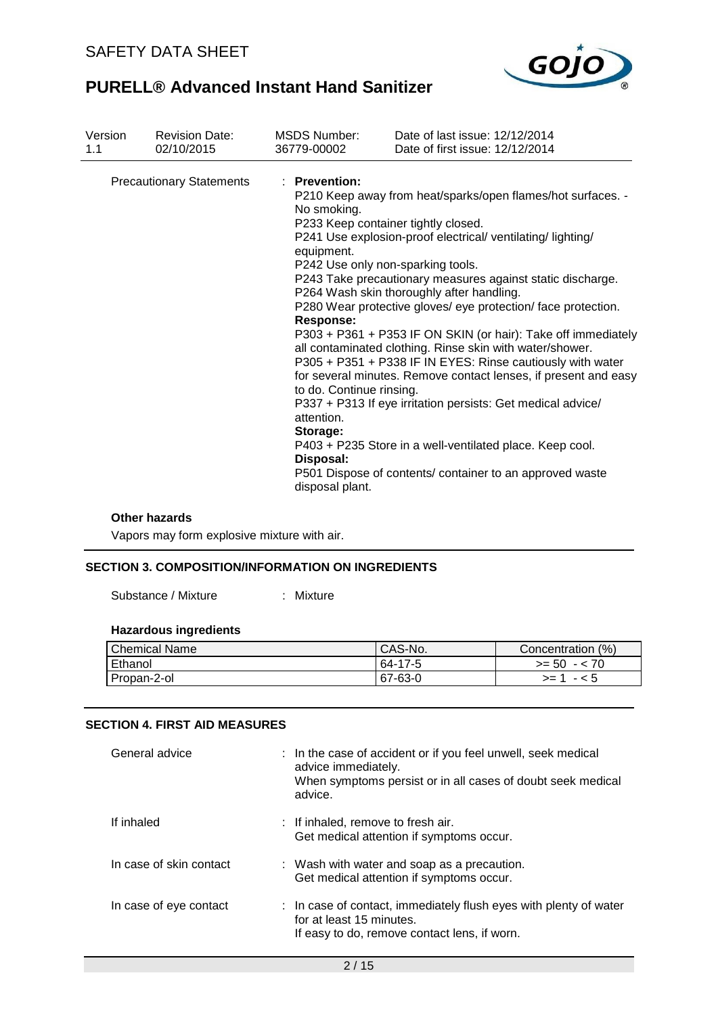

| Version | <b>Revision Date:</b>           | <b>MSDS Number:</b>                                                                                                                                  | Date of last issue: 12/12/2014                                                                                                                                                                                                                                                                                                                                                                                                                                                                                                                                                                                                                                                                                                                                                                                                         |
|---------|---------------------------------|------------------------------------------------------------------------------------------------------------------------------------------------------|----------------------------------------------------------------------------------------------------------------------------------------------------------------------------------------------------------------------------------------------------------------------------------------------------------------------------------------------------------------------------------------------------------------------------------------------------------------------------------------------------------------------------------------------------------------------------------------------------------------------------------------------------------------------------------------------------------------------------------------------------------------------------------------------------------------------------------------|
| 1.1     | 02/10/2015                      | 36779-00002                                                                                                                                          | Date of first issue: 12/12/2014                                                                                                                                                                                                                                                                                                                                                                                                                                                                                                                                                                                                                                                                                                                                                                                                        |
|         | <b>Precautionary Statements</b> | : Prevention:<br>No smoking.<br>equipment.<br><b>Response:</b><br>to do. Continue rinsing.<br>attention.<br>Storage:<br>Disposal:<br>disposal plant. | P210 Keep away from heat/sparks/open flames/hot surfaces. -<br>P233 Keep container tightly closed.<br>P241 Use explosion-proof electrical/ ventilating/lighting/<br>P242 Use only non-sparking tools.<br>P243 Take precautionary measures against static discharge.<br>P264 Wash skin thoroughly after handling.<br>P280 Wear protective gloves/ eye protection/ face protection.<br>P303 + P361 + P353 IF ON SKIN (or hair): Take off immediately<br>all contaminated clothing. Rinse skin with water/shower.<br>P305 + P351 + P338 IF IN EYES: Rinse cautiously with water<br>for several minutes. Remove contact lenses, if present and easy<br>P337 + P313 If eye irritation persists: Get medical advice/<br>P403 + P235 Store in a well-ventilated place. Keep cool.<br>P501 Dispose of contents/ container to an approved waste |

#### **Other hazards**

Vapors may form explosive mixture with air.

## **SECTION 3. COMPOSITION/INFORMATION ON INGREDIENTS**

Substance / Mixture : Mixture

# **Hazardous ingredients**

| <b>Chemical Name</b> | CAS-No. | Concentration (%) |
|----------------------|---------|-------------------|
| Ethanol              | 64-17-5 | $>= 50 - 70$      |
| Propan-2-ol          | 67-63-0 | $-5$<br>$>=$ 1    |

### **SECTION 4. FIRST AID MEASURES**

| General advice          | : In the case of accident or if you feel unwell, seek medical<br>advice immediately.<br>When symptoms persist or in all cases of doubt seek medical<br>advice. |
|-------------------------|----------------------------------------------------------------------------------------------------------------------------------------------------------------|
| If inhaled              | : If inhaled, remove to fresh air.<br>Get medical attention if symptoms occur.                                                                                 |
| In case of skin contact | : Wash with water and soap as a precaution.<br>Get medical attention if symptoms occur.                                                                        |
| In case of eye contact  | : In case of contact, immediately flush eyes with plenty of water<br>for at least 15 minutes.<br>If easy to do, remove contact lens, if worn.                  |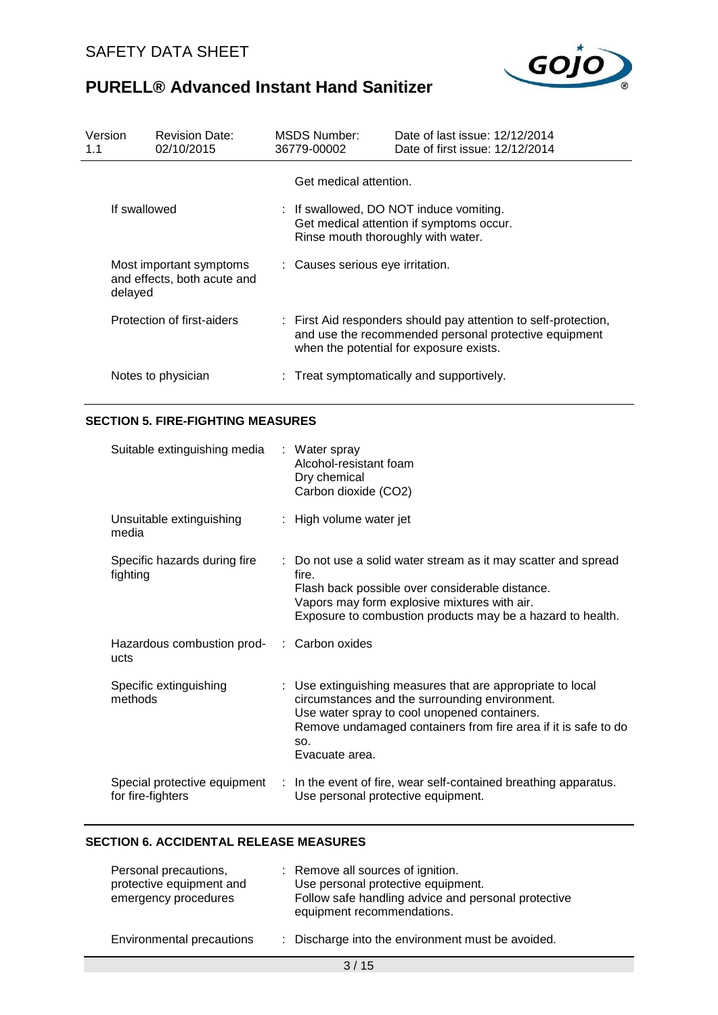

| Version<br>1.1             | <b>Revision Date:</b><br>02/10/2015                    | MSDS Number:<br>36779-00002                                                                                                                                         | Date of last issue: 12/12/2014<br>Date of first issue: 12/12/2014                   |
|----------------------------|--------------------------------------------------------|---------------------------------------------------------------------------------------------------------------------------------------------------------------------|-------------------------------------------------------------------------------------|
|                            | If swallowed                                           | Get medical attention.<br>Rinse mouth thoroughly with water.                                                                                                        | : If swallowed, DO NOT induce vomiting.<br>Get medical attention if symptoms occur. |
| delayed                    | Most important symptoms<br>and effects, both acute and | : Causes serious eye irritation.                                                                                                                                    |                                                                                     |
| Protection of first-aiders |                                                        | : First Aid responders should pay attention to self-protection,<br>and use the recommended personal protective equipment<br>when the potential for exposure exists. |                                                                                     |
|                            | Notes to physician                                     |                                                                                                                                                                     | : Treat symptomatically and supportively.                                           |

## **SECTION 5. FIRE-FIGHTING MEASURES**

| Suitable extinguishing media                       | : Water spray<br>Alcohol-resistant foam<br>Dry chemical<br>Carbon dioxide (CO2)                                                                                                                                                                         |
|----------------------------------------------------|---------------------------------------------------------------------------------------------------------------------------------------------------------------------------------------------------------------------------------------------------------|
| Unsuitable extinguishing<br>media                  | : High volume water jet                                                                                                                                                                                                                                 |
| Specific hazards during fire<br>fighting           | : Do not use a solid water stream as it may scatter and spread<br>fire.<br>Flash back possible over considerable distance.<br>Vapors may form explosive mixtures with air.<br>Exposure to combustion products may be a hazard to health.                |
| Hazardous combustion prod- : Carbon oxides<br>ucts |                                                                                                                                                                                                                                                         |
| Specific extinguishing<br>methods                  | : Use extinguishing measures that are appropriate to local<br>circumstances and the surrounding environment.<br>Use water spray to cool unopened containers.<br>Remove undamaged containers from fire area if it is safe to do<br>SO.<br>Evacuate area. |
| Special protective equipment<br>for fire-fighters  | : In the event of fire, wear self-contained breathing apparatus.<br>Use personal protective equipment.                                                                                                                                                  |

# **SECTION 6. ACCIDENTAL RELEASE MEASURES**

| Personal precautions,<br>protective equipment and<br>emergency procedures | : Remove all sources of ignition.<br>Use personal protective equipment.<br>Follow safe handling advice and personal protective<br>equipment recommendations. |
|---------------------------------------------------------------------------|--------------------------------------------------------------------------------------------------------------------------------------------------------------|
| Environmental precautions                                                 | : Discharge into the environment must be avoided.                                                                                                            |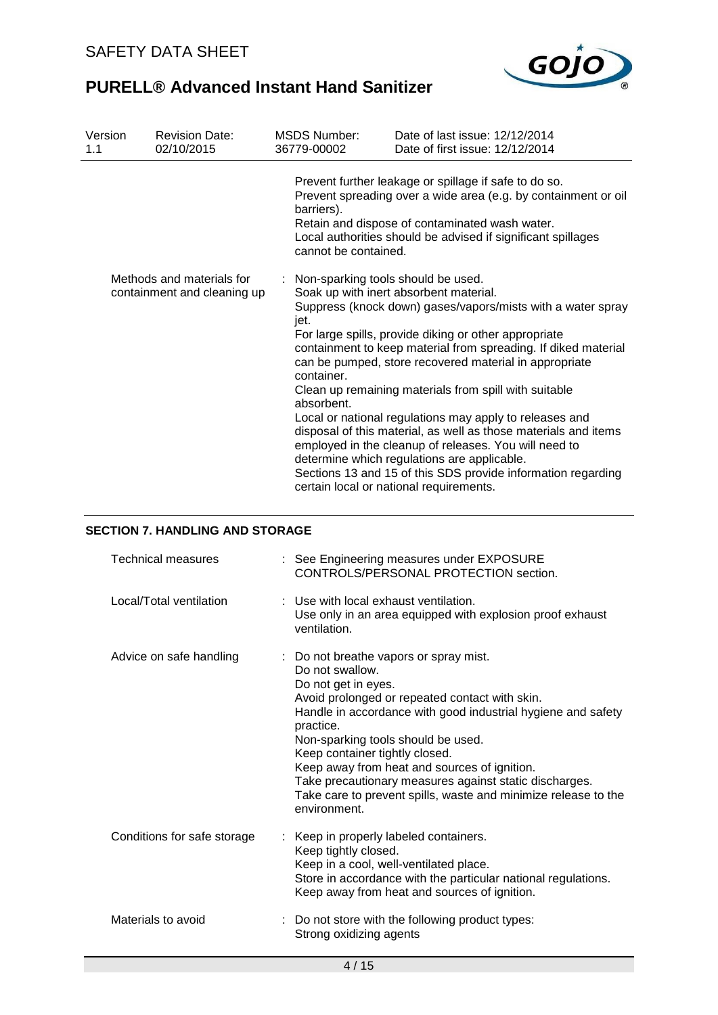

| Version<br>1.1                                           | <b>Revision Date:</b><br>02/10/2015 | <b>MSDS Number:</b><br>36779-00002                                       | Date of last issue: 12/12/2014<br>Date of first issue: 12/12/2014                                                                                                                                                                                                                                                                                                                                                                                                                                                                                                                                                                                                                                    |
|----------------------------------------------------------|-------------------------------------|--------------------------------------------------------------------------|------------------------------------------------------------------------------------------------------------------------------------------------------------------------------------------------------------------------------------------------------------------------------------------------------------------------------------------------------------------------------------------------------------------------------------------------------------------------------------------------------------------------------------------------------------------------------------------------------------------------------------------------------------------------------------------------------|
|                                                          |                                     | barriers).<br>cannot be contained.                                       | Prevent further leakage or spillage if safe to do so.<br>Prevent spreading over a wide area (e.g. by containment or oil<br>Retain and dispose of contaminated wash water.<br>Local authorities should be advised if significant spillages                                                                                                                                                                                                                                                                                                                                                                                                                                                            |
| Methods and materials for<br>containment and cleaning up |                                     | : Non-sparking tools should be used.<br>jet.<br>container.<br>absorbent. | Soak up with inert absorbent material.<br>Suppress (knock down) gases/vapors/mists with a water spray<br>For large spills, provide diking or other appropriate<br>containment to keep material from spreading. If diked material<br>can be pumped, store recovered material in appropriate<br>Clean up remaining materials from spill with suitable<br>Local or national regulations may apply to releases and<br>disposal of this material, as well as those materials and items<br>employed in the cleanup of releases. You will need to<br>determine which regulations are applicable.<br>Sections 13 and 15 of this SDS provide information regarding<br>certain local or national requirements. |

### **SECTION 7. HANDLING AND STORAGE**

| <b>Technical measures</b>   | : See Engineering measures under EXPOSURE<br>CONTROLS/PERSONAL PROTECTION section.                                                                                                                                                                                                                                                                                                                                                                                                  |
|-----------------------------|-------------------------------------------------------------------------------------------------------------------------------------------------------------------------------------------------------------------------------------------------------------------------------------------------------------------------------------------------------------------------------------------------------------------------------------------------------------------------------------|
| Local/Total ventilation     | : Use with local exhaust ventilation.<br>Use only in an area equipped with explosion proof exhaust<br>ventilation.                                                                                                                                                                                                                                                                                                                                                                  |
| Advice on safe handling     | : Do not breathe vapors or spray mist.<br>Do not swallow.<br>Do not get in eyes.<br>Avoid prolonged or repeated contact with skin.<br>Handle in accordance with good industrial hygiene and safety<br>practice.<br>Non-sparking tools should be used.<br>Keep container tightly closed.<br>Keep away from heat and sources of ignition.<br>Take precautionary measures against static discharges.<br>Take care to prevent spills, waste and minimize release to the<br>environment. |
| Conditions for safe storage | Keep in properly labeled containers.<br>Keep tightly closed.<br>Keep in a cool, well-ventilated place.<br>Store in accordance with the particular national regulations.<br>Keep away from heat and sources of ignition.                                                                                                                                                                                                                                                             |
| Materials to avoid          | : Do not store with the following product types:<br>Strong oxidizing agents                                                                                                                                                                                                                                                                                                                                                                                                         |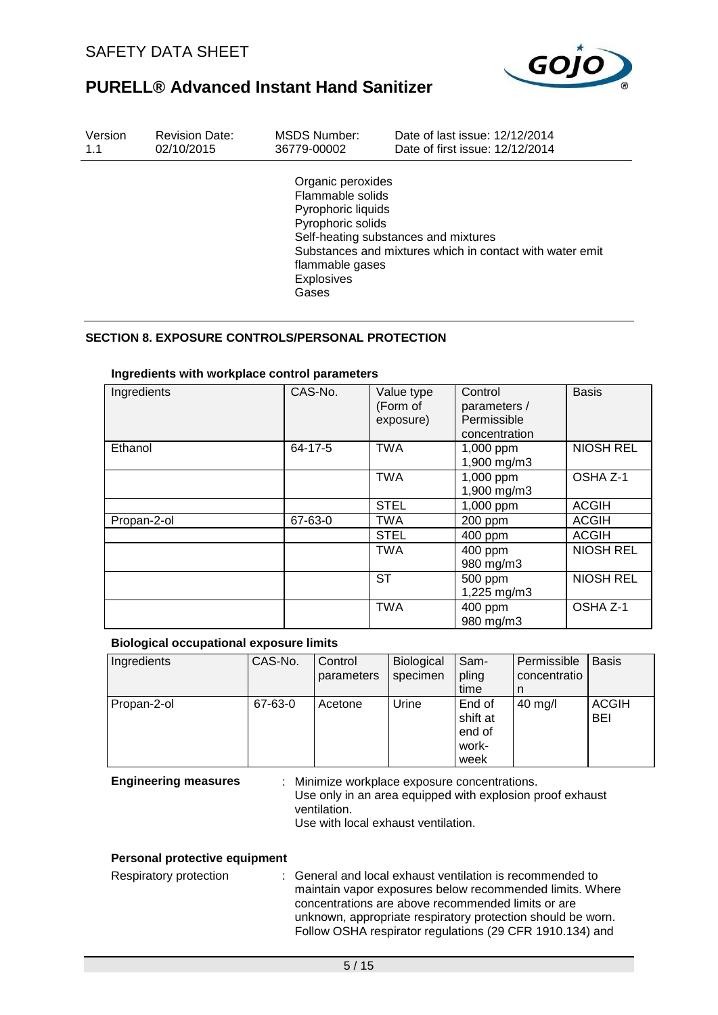

| Version | <b>Revision Date:</b> | MSDS Number:                                                                                                                      | Date of last issue: 12/12/2014                                                                   |
|---------|-----------------------|-----------------------------------------------------------------------------------------------------------------------------------|--------------------------------------------------------------------------------------------------|
| 1.1     | 02/10/2015            | 36779-00002                                                                                                                       | Date of first issue: 12/12/2014                                                                  |
|         |                       | Organic peroxides<br>Flammable solids<br>Pyrophoric liquids<br>Pyrophoric solids<br>flammable gases<br><b>Explosives</b><br>Gases | Self-heating substances and mixtures<br>Substances and mixtures which in contact with water emit |

### **SECTION 8. EXPOSURE CONTROLS/PERSONAL PROTECTION**

| Ingredients | CAS-No. | Value type<br>(Form of<br>exposure) | Control<br>parameters /<br>Permissible<br>concentration | <b>Basis</b>     |
|-------------|---------|-------------------------------------|---------------------------------------------------------|------------------|
| Ethanol     | 64-17-5 | <b>TWA</b>                          | 1,000 ppm<br>1,900 mg/m3                                | <b>NIOSH REL</b> |
|             |         | <b>TWA</b>                          | 1,000 ppm<br>1,900 mg/m3                                | OSHA Z-1         |
|             |         | <b>STEL</b>                         | 1,000 ppm                                               | <b>ACGIH</b>     |
| Propan-2-ol | 67-63-0 | <b>TWA</b>                          | 200 ppm                                                 | <b>ACGIH</b>     |
|             |         | <b>STEL</b>                         | 400 ppm                                                 | <b>ACGIH</b>     |
|             |         | <b>TWA</b>                          | 400 ppm<br>980 mg/m3                                    | <b>NIOSH REL</b> |
|             |         | ST                                  | 500 ppm<br>1,225 mg/m3                                  | <b>NIOSH REL</b> |
|             |         | <b>TWA</b>                          | 400 ppm<br>980 mg/m3                                    | OSHA Z-1         |

### **Ingredients with workplace control parameters**

### **Biological occupational exposure limits**

| Ingredients | CAS-No. | Control<br>parameters | Biological<br>specimen | Sam-<br>pling<br>time                         | Permissible<br>concentratio<br>n | <b>Basis</b>        |
|-------------|---------|-----------------------|------------------------|-----------------------------------------------|----------------------------------|---------------------|
| Propan-2-ol | 67-63-0 | Acetone               | Urine                  | End of<br>shift at<br>end of<br>work-<br>week | $40$ mg/l                        | <b>ACGIH</b><br>BEI |

**Engineering measures** : Minimize workplace exposure concentrations. Use only in an area equipped with explosion proof exhaust ventilation. Use with local exhaust ventilation.

#### **Personal protective equipment**

Respiratory protection : General and local exhaust ventilation is recommended to maintain vapor exposures below recommended limits. Where concentrations are above recommended limits or are unknown, appropriate respiratory protection should be worn. Follow OSHA respirator regulations (29 CFR 1910.134) and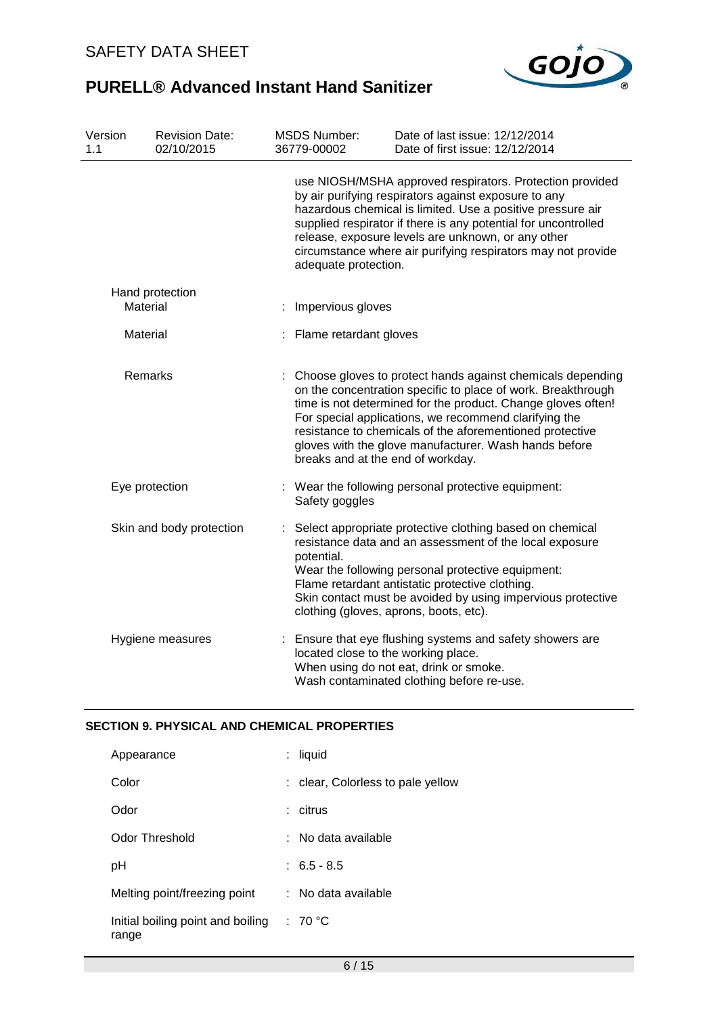

| Version<br>1.1                          |                | <b>Revision Date:</b><br>02/10/2015 |                          | <b>MSDS Number:</b><br>36779-00002                   | Date of last issue: 12/12/2014<br>Date of first issue: 12/12/2014                                                                                                                                                                                                                                                                                                        |
|-----------------------------------------|----------------|-------------------------------------|--------------------------|------------------------------------------------------|--------------------------------------------------------------------------------------------------------------------------------------------------------------------------------------------------------------------------------------------------------------------------------------------------------------------------------------------------------------------------|
|                                         |                |                                     |                          | adequate protection.                                 | use NIOSH/MSHA approved respirators. Protection provided<br>by air purifying respirators against exposure to any<br>hazardous chemical is limited. Use a positive pressure air<br>supplied respirator if there is any potential for uncontrolled<br>release, exposure levels are unknown, or any other<br>circumstance where air purifying respirators may not provide   |
| Hand protection<br>Material<br>Material |                |                                     | Impervious gloves        |                                                      |                                                                                                                                                                                                                                                                                                                                                                          |
|                                         |                |                                     | : Flame retardant gloves |                                                      |                                                                                                                                                                                                                                                                                                                                                                          |
|                                         | Remarks        |                                     |                          | breaks and at the end of workday.                    | Choose gloves to protect hands against chemicals depending<br>on the concentration specific to place of work. Breakthrough<br>time is not determined for the product. Change gloves often!<br>For special applications, we recommend clarifying the<br>resistance to chemicals of the aforementioned protective<br>gloves with the glove manufacturer. Wash hands before |
|                                         | Eye protection |                                     | t,                       | Safety goggles                                       | Wear the following personal protective equipment:                                                                                                                                                                                                                                                                                                                        |
|                                         |                | Skin and body protection            |                          | potential.<br>clothing (gloves, aprons, boots, etc). | Select appropriate protective clothing based on chemical<br>resistance data and an assessment of the local exposure<br>Wear the following personal protective equipment:<br>Flame retardant antistatic protective clothing.<br>Skin contact must be avoided by using impervious protective                                                                               |
|                                         |                | Hygiene measures                    |                          | located close to the working place.                  | : Ensure that eye flushing systems and safety showers are<br>When using do not eat, drink or smoke.<br>Wash contaminated clothing before re-use.                                                                                                                                                                                                                         |

## **SECTION 9. PHYSICAL AND CHEMICAL PROPERTIES**

| Appearance                                 | liquid                            |
|--------------------------------------------|-----------------------------------|
| Color                                      | : clear, Colorless to pale yellow |
| Odor                                       | citrus                            |
| Odor Threshold                             | No data available                 |
| рH                                         | $: 6.5 - 8.5$                     |
| Melting point/freezing point               | No data available                 |
| Initial boiling point and boiling<br>range | : 70 °C                           |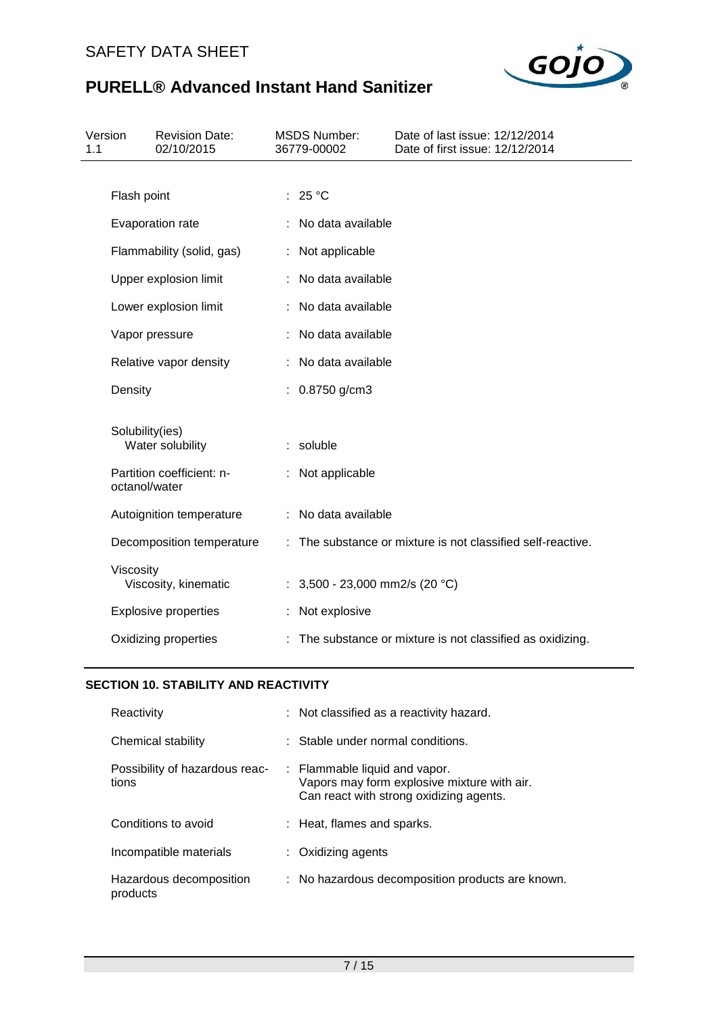

| Version<br>1.1 |                       | <b>Revision Date:</b><br>02/10/2015 | <b>MSDS Number:</b><br>36779-00002 | Date of last issue: 12/12/2014<br>Date of first issue: 12/12/2014 |
|----------------|-----------------------|-------------------------------------|------------------------------------|-------------------------------------------------------------------|
|                |                       |                                     |                                    |                                                                   |
|                | Flash point           |                                     | : 25 °C                            |                                                                   |
|                |                       | Evaporation rate                    | : No data available                |                                                                   |
|                |                       | Flammability (solid, gas)           | : Not applicable                   |                                                                   |
|                | Upper explosion limit |                                     | : No data available                |                                                                   |
|                |                       | Lower explosion limit               | No data available                  |                                                                   |
|                | Vapor pressure        |                                     | : No data available                |                                                                   |
|                |                       | Relative vapor density              | : No data available                |                                                                   |
|                | Density               |                                     | : $0.8750$ g/cm3                   |                                                                   |
|                | Solubility(ies)       | Water solubility                    | : soluble                          |                                                                   |
|                | octanol/water         | Partition coefficient: n-           | : Not applicable                   |                                                                   |
|                |                       | Autoignition temperature            | : No data available                |                                                                   |
|                |                       | Decomposition temperature           |                                    | : The substance or mixture is not classified self-reactive.       |
|                | Viscosity             | Viscosity, kinematic                | : $3,500 - 23,000$ mm2/s (20 °C)   |                                                                   |
|                |                       | <b>Explosive properties</b>         | : Not explosive                    |                                                                   |
|                |                       | Oxidizing properties                |                                    | : The substance or mixture is not classified as oxidizing.        |

# **SECTION 10. STABILITY AND REACTIVITY**

| Reactivity                              | : Not classified as a reactivity hazard.                                                                                |
|-----------------------------------------|-------------------------------------------------------------------------------------------------------------------------|
| Chemical stability                      | $\therefore$ Stable under normal conditions.                                                                            |
| Possibility of hazardous reac-<br>tions | : Flammable liquid and vapor.<br>Vapors may form explosive mixture with air.<br>Can react with strong oxidizing agents. |
| Conditions to avoid                     | : Heat, flames and sparks.                                                                                              |
| Incompatible materials                  | : Oxidizing agents                                                                                                      |
| Hazardous decomposition<br>products     | : No hazardous decomposition products are known.                                                                        |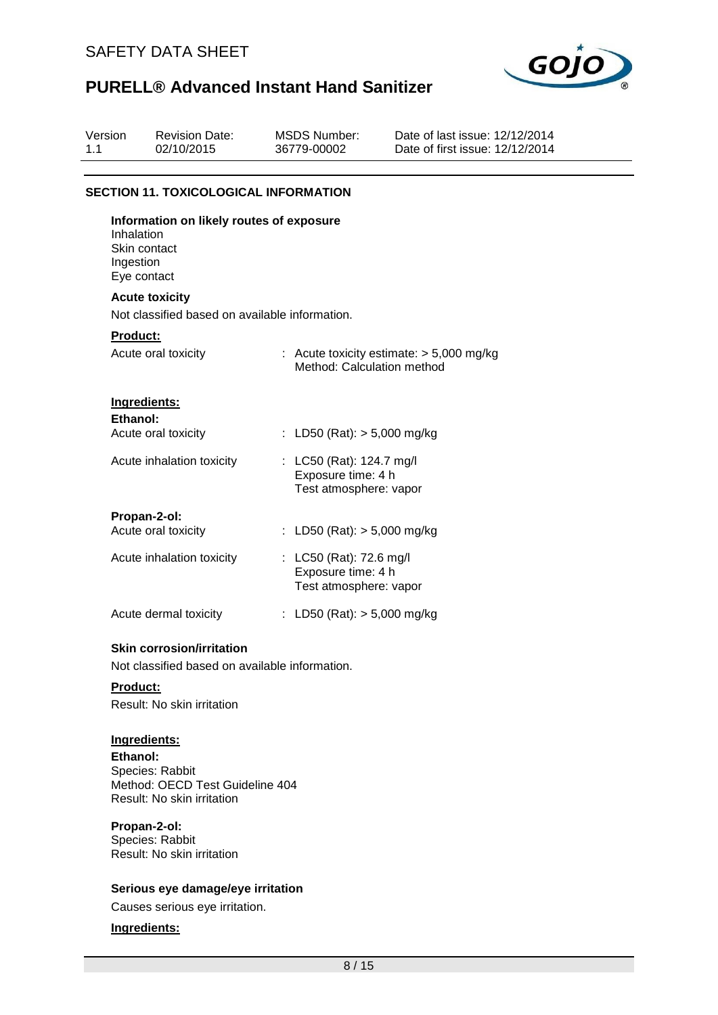

| Version<br>1.1 |                                                        | <b>Revision Date:</b><br>02/10/2015                                                | <b>MSDS Number:</b><br>36779-00002                                        | Date of last issue: 12/12/2014<br>Date of first issue: 12/12/2014 |
|----------------|--------------------------------------------------------|------------------------------------------------------------------------------------|---------------------------------------------------------------------------|-------------------------------------------------------------------|
|                |                                                        | <b>SECTION 11. TOXICOLOGICAL INFORMATION</b>                                       |                                                                           |                                                                   |
|                | Inhalation<br>Skin contact<br>Ingestion<br>Eye contact | Information on likely routes of exposure                                           |                                                                           |                                                                   |
|                |                                                        | <b>Acute toxicity</b>                                                              |                                                                           |                                                                   |
|                |                                                        | Not classified based on available information.                                     |                                                                           |                                                                   |
|                | <b>Product:</b>                                        | Acute oral toxicity                                                                | Method: Calculation method                                                | : Acute toxicity estimate: $> 5,000$ mg/kg                        |
|                | Ingredients:<br>Ethanol:                               |                                                                                    |                                                                           |                                                                   |
|                |                                                        | Acute oral toxicity                                                                | : LD50 (Rat): $> 5,000$ mg/kg                                             |                                                                   |
|                |                                                        | Acute inhalation toxicity                                                          | : LC50 (Rat): 124.7 mg/l<br>Exposure time: 4 h<br>Test atmosphere: vapor  |                                                                   |
|                | Propan-2-ol:                                           |                                                                                    |                                                                           |                                                                   |
|                |                                                        | Acute oral toxicity                                                                | : LD50 (Rat): $> 5,000$ mg/kg                                             |                                                                   |
|                |                                                        | Acute inhalation toxicity                                                          | : $LC50$ (Rat): 72.6 mg/l<br>Exposure time: 4 h<br>Test atmosphere: vapor |                                                                   |
|                |                                                        | Acute dermal toxicity                                                              | : LD50 (Rat): $> 5,000$ mg/kg                                             |                                                                   |
|                |                                                        | <b>Skin corrosion/irritation</b><br>Not classified based on available information. |                                                                           |                                                                   |
|                | <b>Product:</b>                                        | Result: No skin irritation                                                         |                                                                           |                                                                   |

## **Ingredients:**

**Ethanol:** Species: Rabbit Method: OECD Test Guideline 404 Result: No skin irritation

### **Propan-2-ol:**

Species: Rabbit Result: No skin irritation

### **Serious eye damage/eye irritation**

Causes serious eye irritation.

### **Ingredients:**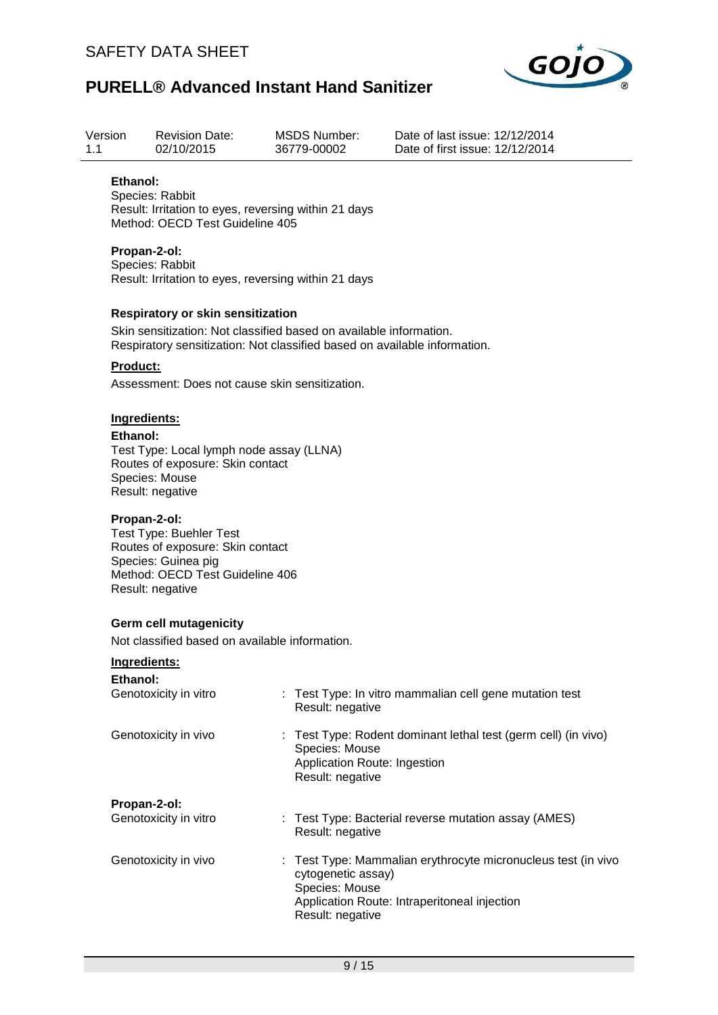

| Version<br>1.1  | <b>Revision Date:</b><br>02/10/2015                                                                                                                                                  |  | <b>MSDS Number:</b><br>36779-00002                                 | Date of last issue: 12/12/2014<br>Date of first issue: 12/12/2014 |                                                              |  |  |  |
|-----------------|--------------------------------------------------------------------------------------------------------------------------------------------------------------------------------------|--|--------------------------------------------------------------------|-------------------------------------------------------------------|--------------------------------------------------------------|--|--|--|
| Ethanol:        | Species: Rabbit<br>Result: Irritation to eyes, reversing within 21 days<br>Method: OECD Test Guideline 405                                                                           |  |                                                                    |                                                                   |                                                              |  |  |  |
|                 | Propan-2-ol:<br>Species: Rabbit<br>Result: Irritation to eyes, reversing within 21 days                                                                                              |  |                                                                    |                                                                   |                                                              |  |  |  |
|                 | Respiratory or skin sensitization<br>Skin sensitization: Not classified based on available information.<br>Respiratory sensitization: Not classified based on available information. |  |                                                                    |                                                                   |                                                              |  |  |  |
| <b>Product:</b> |                                                                                                                                                                                      |  |                                                                    |                                                                   |                                                              |  |  |  |
|                 | Assessment: Does not cause skin sensitization.                                                                                                                                       |  |                                                                    |                                                                   |                                                              |  |  |  |
|                 | Ingredients:<br>Ethanol:<br>Test Type: Local lymph node assay (LLNA)<br>Routes of exposure: Skin contact<br>Species: Mouse<br>Result: negative                                       |  |                                                                    |                                                                   |                                                              |  |  |  |
|                 | Propan-2-ol:<br><b>Test Type: Buehler Test</b><br>Routes of exposure: Skin contact<br>Species: Guinea pig<br>Method: OECD Test Guideline 406<br>Result: negative                     |  |                                                                    |                                                                   |                                                              |  |  |  |
|                 | <b>Germ cell mutagenicity</b>                                                                                                                                                        |  |                                                                    |                                                                   |                                                              |  |  |  |
|                 | Not classified based on available information.                                                                                                                                       |  |                                                                    |                                                                   |                                                              |  |  |  |
|                 | Ingredients:                                                                                                                                                                         |  |                                                                    |                                                                   |                                                              |  |  |  |
| Ethanol:        | Genotoxicity in vitro                                                                                                                                                                |  | Result: negative                                                   | : Test Type: In vitro mammalian cell gene mutation test           |                                                              |  |  |  |
|                 | Genotoxicity in vivo                                                                                                                                                                 |  | Species: Mouse<br>Application Route: Ingestion<br>Result: negative |                                                                   | Test Type: Rodent dominant lethal test (germ cell) (in vivo) |  |  |  |
|                 | Propan-2-ol:                                                                                                                                                                         |  |                                                                    |                                                                   |                                                              |  |  |  |
|                 | Genotoxicity in vitro                                                                                                                                                                |  | Result: negative                                                   | Test Type: Bacterial reverse mutation assay (AMES)                |                                                              |  |  |  |
|                 | Genotoxicity in vivo                                                                                                                                                                 |  | cytogenetic assay)<br>Species: Mouse                               | Application Route: Intraperitoneal injection                      | Test Type: Mammalian erythrocyte micronucleus test (in vivo  |  |  |  |

Result: negative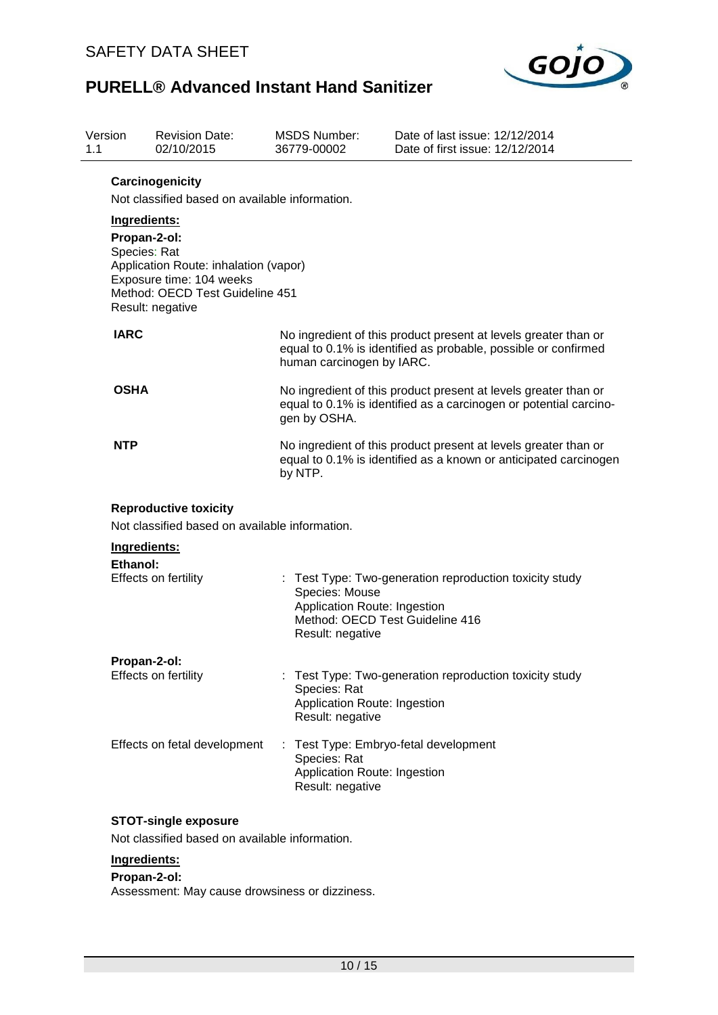

| Version<br>1.1 | <b>Revision Date:</b><br>02/10/2015                                                                                                                                      | <b>MSDS Number:</b><br>36779-00002                                                                                                                             | Date of last issue: 12/12/2014<br>Date of first issue: 12/12/2014                        |  |  |  |
|----------------|--------------------------------------------------------------------------------------------------------------------------------------------------------------------------|----------------------------------------------------------------------------------------------------------------------------------------------------------------|------------------------------------------------------------------------------------------|--|--|--|
|                | Carcinogenicity<br>Not classified based on available information.                                                                                                        |                                                                                                                                                                |                                                                                          |  |  |  |
|                | Ingredients:<br>Propan-2-ol:<br>Species: Rat<br>Application Route: inhalation (vapor)<br>Exposure time: 104 weeks<br>Method: OECD Test Guideline 451<br>Result: negative |                                                                                                                                                                |                                                                                          |  |  |  |
| <b>IARC</b>    |                                                                                                                                                                          | No ingredient of this product present at levels greater than or<br>equal to 0.1% is identified as probable, possible or confirmed<br>human carcinogen by IARC. |                                                                                          |  |  |  |
| <b>OSHA</b>    |                                                                                                                                                                          | No ingredient of this product present at levels greater than or<br>equal to 0.1% is identified as a carcinogen or potential carcino-<br>gen by OSHA.           |                                                                                          |  |  |  |
| NTP            |                                                                                                                                                                          | No ingredient of this product present at levels greater than or<br>equal to 0.1% is identified as a known or anticipated carcinogen<br>by NTP.                 |                                                                                          |  |  |  |
|                | <b>Reproductive toxicity</b><br>Not classified based on available information.                                                                                           |                                                                                                                                                                |                                                                                          |  |  |  |
|                | Ingredients:                                                                                                                                                             |                                                                                                                                                                |                                                                                          |  |  |  |
| Ethanol:       | Effects on fertility                                                                                                                                                     | Species: Mouse<br>Application Route: Ingestion<br>Result: negative                                                                                             | Test Type: Two-generation reproduction toxicity study<br>Method: OECD Test Guideline 416 |  |  |  |
|                | Propan-2-ol:                                                                                                                                                             |                                                                                                                                                                |                                                                                          |  |  |  |
|                | Effects on fertility                                                                                                                                                     | Species: Rat<br>Application Route: Ingestion<br>Result: negative                                                                                               | : Test Type: Two-generation reproduction toxicity study                                  |  |  |  |
|                | Effects on fetal development                                                                                                                                             | ÷<br>Species: Rat<br>Application Route: Ingestion<br>Result: negative                                                                                          | Test Type: Embryo-fetal development                                                      |  |  |  |
|                | <b>STOT-single exposure</b>                                                                                                                                              |                                                                                                                                                                |                                                                                          |  |  |  |
|                | Not classified based on available information.                                                                                                                           |                                                                                                                                                                |                                                                                          |  |  |  |
|                | Ingredients:                                                                                                                                                             |                                                                                                                                                                |                                                                                          |  |  |  |

### **Propan-2-ol:**

Assessment: May cause drowsiness or dizziness.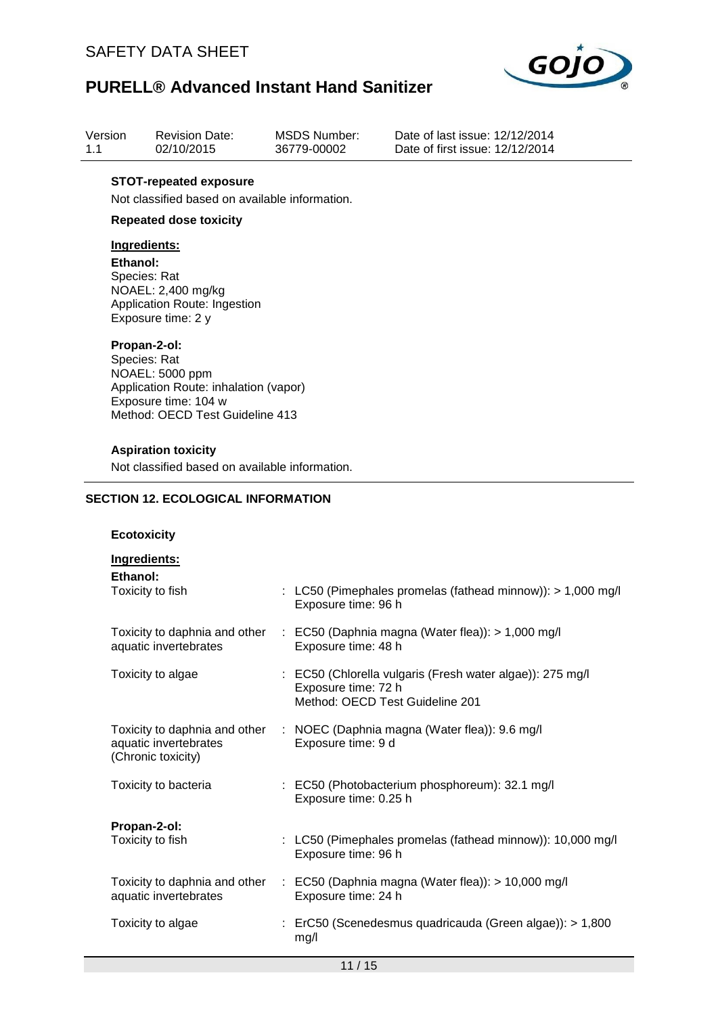

| Version | <b>Revision Date:</b> | MSDS Number: |
|---------|-----------------------|--------------|
| 1.1     | 02/10/2015            | 36779-00002  |

Date of last issue: 12/12/2014 Date of first issue: 12/12/2014

### **STOT-repeated exposure**

Not classified based on available information.

### **Repeated dose toxicity**

### **Ingredients:**

**Ethanol:** Species: Rat NOAEL: 2,400 mg/kg Application Route: Ingestion Exposure time: 2 y

#### **Propan-2-ol:**

Species: Rat NOAEL: 5000 ppm Application Route: inhalation (vapor) Exposure time: 104 w Method: OECD Test Guideline 413

#### **Aspiration toxicity**

Not classified based on available information.

### **SECTION 12. ECOLOGICAL INFORMATION**

### **Ecotoxicity**

| Ingredients:                                           |                                                                                                                     |
|--------------------------------------------------------|---------------------------------------------------------------------------------------------------------------------|
| Ethanol:<br>Toxicity to fish                           | : LC50 (Pimephales promelas (fathead minnow)): > 1,000 mg/l<br>Exposure time: 96 h                                  |
| Toxicity to daphnia and other<br>aquatic invertebrates | $\therefore$ EC50 (Daphnia magna (Water flea)): > 1,000 mg/l<br>Exposure time: 48 h                                 |
| Toxicity to algae                                      | : EC50 (Chlorella vulgaris (Fresh water algae)): 275 mg/l<br>Exposure time: 72 h<br>Method: OECD Test Guideline 201 |
| aquatic invertebrates<br>(Chronic toxicity)            | Toxicity to daphnia and other : NOEC (Daphnia magna (Water flea)): 9.6 mg/l<br>Exposure time: 9 d                   |
| Toxicity to bacteria                                   | : EC50 (Photobacterium phosphoreum): 32.1 mg/l<br>Exposure time: 0.25 h                                             |
| Propan-2-ol:<br>Toxicity to fish                       | : LC50 (Pimephales promelas (fathead minnow)): 10,000 mg/l<br>Exposure time: 96 h                                   |
| aquatic invertebrates                                  | Toxicity to daphnia and other : EC50 (Daphnia magna (Water flea)): > 10,000 mg/l<br>Exposure time: 24 h             |
| Toxicity to algae                                      | : ErC50 (Scenedesmus quadricauda (Green algae)): > 1,800<br>mg/l                                                    |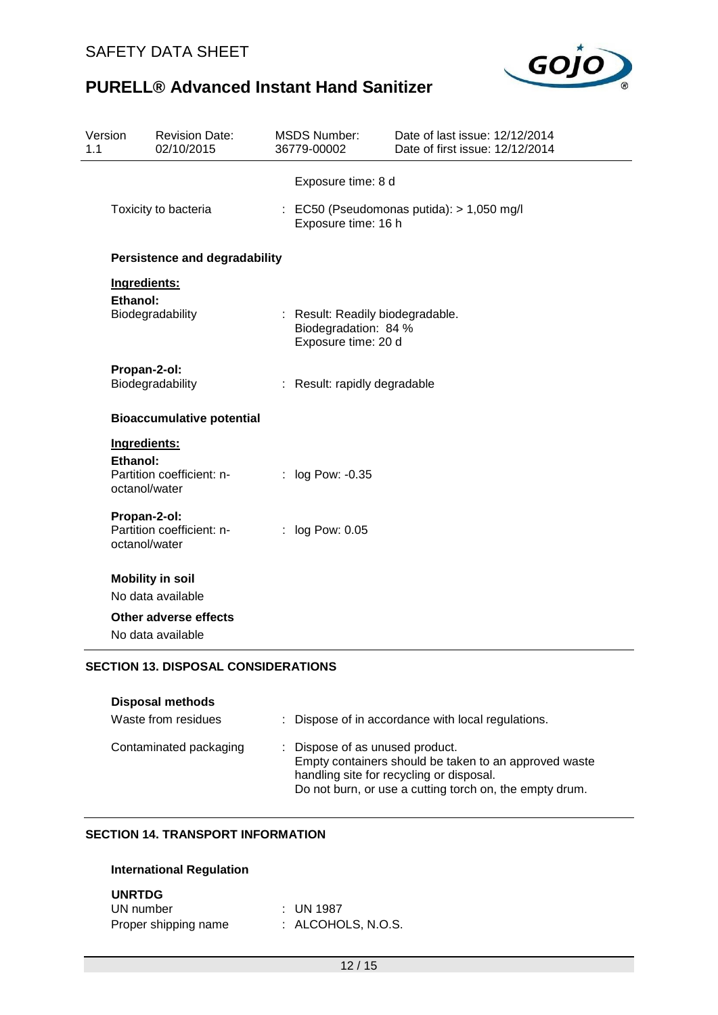

| Version<br>1.1 | <b>Revision Date:</b><br>02/10/2015                                    | <b>MSDS Number:</b><br>36779-00002                                              | Date of last issue: 12/12/2014<br>Date of first issue: 12/12/2014 |
|----------------|------------------------------------------------------------------------|---------------------------------------------------------------------------------|-------------------------------------------------------------------|
|                | Toxicity to bacteria                                                   | Exposure time: 8 d<br>Exposure time: 16 h                                       | : EC50 (Pseudomonas putida): > 1,050 mg/l                         |
|                | <b>Persistence and degradability</b>                                   |                                                                                 |                                                                   |
|                | Ingredients:<br>Ethanol:<br>Biodegradability                           | : Result: Readily biodegradable.<br>Biodegradation: 84 %<br>Exposure time: 20 d |                                                                   |
|                | Propan-2-ol:<br>Biodegradability                                       | : Result: rapidly degradable                                                    |                                                                   |
|                | <b>Bioaccumulative potential</b>                                       |                                                                                 |                                                                   |
|                | Ingredients:<br>Ethanol:<br>Partition coefficient: n-<br>octanol/water | log Pow: -0.35                                                                  |                                                                   |
|                | Propan-2-ol:<br>Partition coefficient: n-<br>octanol/water             | log Pow: 0.05                                                                   |                                                                   |
|                | <b>Mobility in soil</b>                                                |                                                                                 |                                                                   |
|                | No data available                                                      |                                                                                 |                                                                   |
|                | <b>Other adverse effects</b><br>No data available                      |                                                                                 |                                                                   |
|                | <b>SECTION 13. DISPOSAL CONSIDERATIONS</b>                             |                                                                                 |                                                                   |

| <b>Disposal methods</b><br>Waste from residues | : Dispose of in accordance with local regulations.                                                                                                                                              |
|------------------------------------------------|-------------------------------------------------------------------------------------------------------------------------------------------------------------------------------------------------|
| Contaminated packaging                         | : Dispose of as unused product.<br>Empty containers should be taken to an approved waste<br>handling site for recycling or disposal.<br>Do not burn, or use a cutting torch on, the empty drum. |

# **SECTION 14. TRANSPORT INFORMATION**

### **International Regulation**

### **UNRTDG**

| UN number            | : UN 1987          |
|----------------------|--------------------|
| Proper shipping name | : ALCOHOLS, N.O.S. |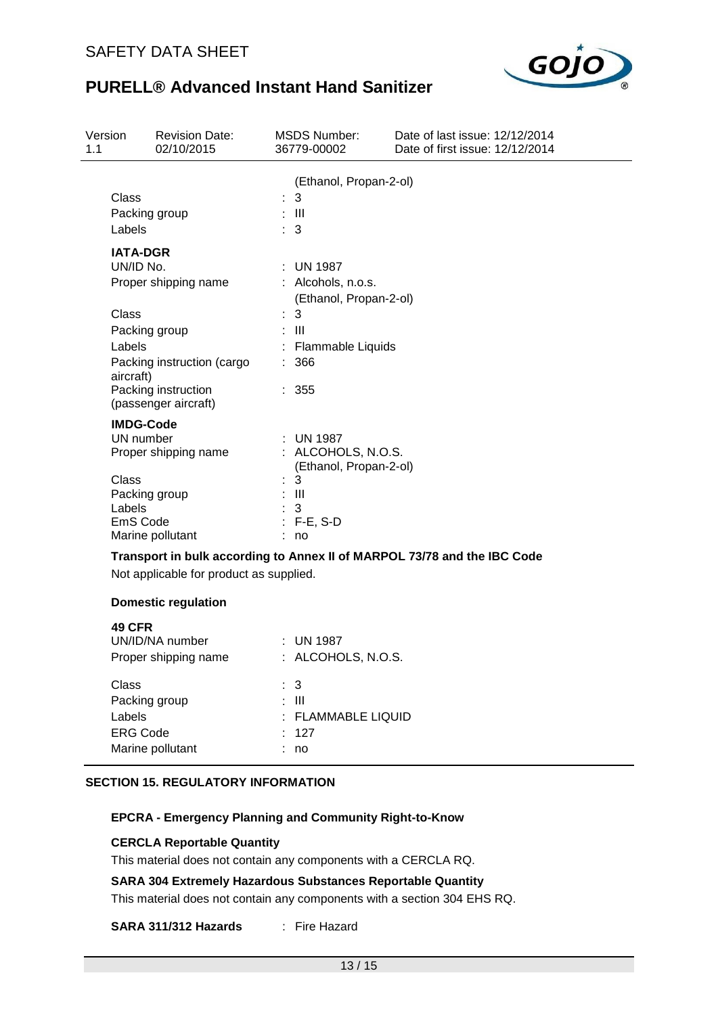

| Version<br><b>Revision Date:</b><br>02/10/2015<br>1.1                                                                                                                              | MSDS Number:<br>36779-00002                                                                                             | Date of last issue: 12/12/2014<br>Date of first issue: 12/12/2014        |
|------------------------------------------------------------------------------------------------------------------------------------------------------------------------------------|-------------------------------------------------------------------------------------------------------------------------|--------------------------------------------------------------------------|
| Class<br>Packing group<br>Labels                                                                                                                                                   | (Ethanol, Propan-2-ol)<br>: 3<br>$\therefore$ III<br>$\therefore$ 3                                                     |                                                                          |
| <b>IATA-DGR</b><br>UN/ID No.<br>Proper shipping name<br>Class<br>Packing group<br>Labels<br>Packing instruction (cargo<br>aircraft)<br>Packing instruction<br>(passenger aircraft) | $\pm$ UN 1987<br>: Alcohols, n.o.s.<br>(Ethanol, Propan-2-ol)<br>3<br>: III<br>Flammable Liquids<br>÷<br>: 366<br>: 355 |                                                                          |
| <b>IMDG-Code</b><br>UN number<br>Proper shipping name<br>Class<br>Packing group<br>Labels<br>EmS Code<br>Marine pollutant                                                          | : UN 1987<br>: ALCOHOLS, N.O.S.<br>(Ethanol, Propan-2-ol)<br>3<br>: III<br>3<br>$: F-E, S-D$<br>: no                    |                                                                          |
| Not applicable for product as supplied.                                                                                                                                            |                                                                                                                         | Transport in bulk according to Annex II of MARPOL 73/78 and the IBC Code |
| <b>Domestic regulation</b><br><b>49 CFR</b><br>UN/ID/NA number<br>Proper shipping name                                                                                             | : UN 1987<br>: ALCOHOLS, N.O.S.                                                                                         |                                                                          |

| Proper shipping name | . ALUUNULƏ, IV.U.Ə. |
|----------------------|---------------------|
| Class                | : 3                 |
| Packing group        | : III               |
| Labels               | : FLAMMABLE LIQUID  |
| <b>ERG Code</b>      | : 127               |
| Marine pollutant     | no                  |
|                      |                     |

### **SECTION 15. REGULATORY INFORMATION**

## **EPCRA - Emergency Planning and Community Right-to-Know**

### **CERCLA Reportable Quantity**

This material does not contain any components with a CERCLA RQ.

### **SARA 304 Extremely Hazardous Substances Reportable Quantity**

This material does not contain any components with a section 304 EHS RQ.

## **SARA 311/312 Hazards** : Fire Hazard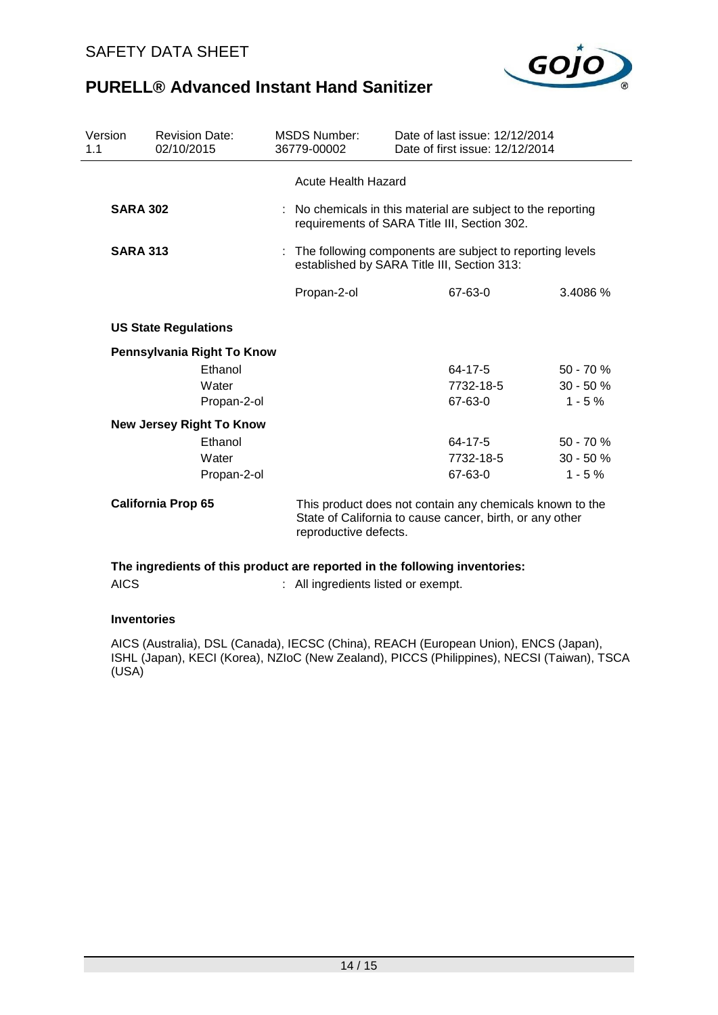

| <b>Revision Date:</b><br>02/10/2015 | <b>MSDS Number:</b>                                                                                                                           | Date of last issue: 12/12/2014 |                                                                                                                                                                               |
|-------------------------------------|-----------------------------------------------------------------------------------------------------------------------------------------------|--------------------------------|-------------------------------------------------------------------------------------------------------------------------------------------------------------------------------|
|                                     |                                                                                                                                               |                                |                                                                                                                                                                               |
| <b>SARA 302</b>                     |                                                                                                                                               |                                |                                                                                                                                                                               |
| <b>SARA 313</b>                     | : The following components are subject to reporting levels<br>established by SARA Title III, Section 313:                                     |                                |                                                                                                                                                                               |
|                                     | Propan-2-ol                                                                                                                                   | 67-63-0                        | 3.4086%                                                                                                                                                                       |
| <b>US State Regulations</b>         |                                                                                                                                               |                                |                                                                                                                                                                               |
|                                     |                                                                                                                                               |                                |                                                                                                                                                                               |
| Ethanol                             |                                                                                                                                               | 64-17-5                        | $50 - 70%$                                                                                                                                                                    |
| Water                               |                                                                                                                                               | 7732-18-5                      | $30 - 50%$                                                                                                                                                                    |
|                                     |                                                                                                                                               | 67-63-0                        | $1 - 5%$                                                                                                                                                                      |
|                                     |                                                                                                                                               |                                |                                                                                                                                                                               |
| Ethanol                             |                                                                                                                                               | 64-17-5                        | $50 - 70%$                                                                                                                                                                    |
| Water                               |                                                                                                                                               | 7732-18-5                      | $30 - 50%$                                                                                                                                                                    |
|                                     |                                                                                                                                               | 67-63-0                        | $1 - 5%$                                                                                                                                                                      |
| <b>California Prop 65</b>           | This product does not contain any chemicals known to the<br>State of California to cause cancer, birth, or any other<br>reproductive defects. |                                |                                                                                                                                                                               |
|                                     | Pennsylvania Right To Know<br>Propan-2-ol<br><b>New Jersey Right To Know</b><br>Propan-2-ol                                                   | 36779-00002                    | Date of first issue: 12/12/2014<br><b>Acute Health Hazard</b><br>: No chemicals in this material are subject to the reporting<br>requirements of SARA Title III, Section 302. |

AICS : All ingredients listed or exempt.

### **Inventories**

AICS (Australia), DSL (Canada), IECSC (China), REACH (European Union), ENCS (Japan), ISHL (Japan), KECI (Korea), NZIoC (New Zealand), PICCS (Philippines), NECSI (Taiwan), TSCA (USA)